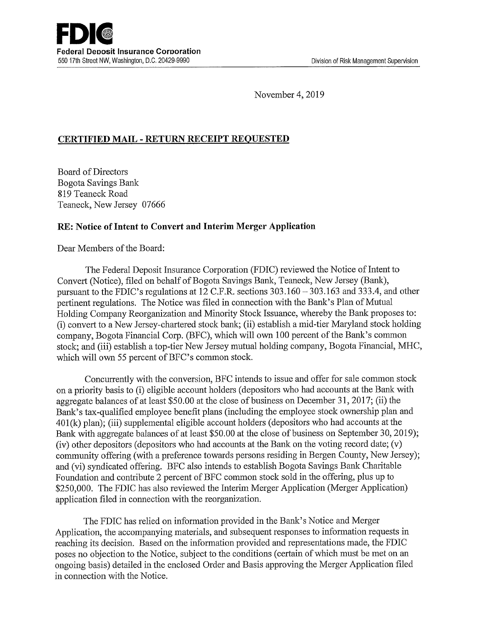November 4, 2019

# CERTIFIED MAIL -RETURN RECEIPT REQUESTED

Board of Directors Bogota Savings Bank 819 Teaneck Road Teaneck, New Jersey 07666

## RE: Notice of Intent to Convert and Interim Merger Application

Dear Members of the Board:

The Federal Deposit Insurance Corporation (FDIC) reviewed the Notice of Intent to Convert (Notice), filed on behalf of Bogota Savings Bank, Teaneck, New Jersey (Bank), pursuant to the FDIC's regulations at 12 C.F.R. sections 303.160 — 303.163 and 333.4, and other pertinent regulations. The Notice was filed in connection with the Bank's Plan of Mutual Holding Company Reorganization and Minority Stock Issuance, whereby the Bank proposes to: (i) convert to a New Jersey-chartered stock bank; (ii) establish amid-tier Maryland stock holding company, Bogota Financial Corp. (BFC), which will own 100 percent of the Bank's common stock; and (iii) establish a top-tier New Jersey mutual holding company, Bogota Financial, MHC, which will own 55 percent of BFC's common stock.

Concurrently with the conversion, BFC intends to issue and offer for sale common stock on a priority basis to (i) eligible account holders (depositors who had accounts at the Bank with aggregate balances of at least \$50.00 at the close of business on December 31, 2017; (ii) the Bank's tax-qualified employee benefit plans (including the employee stock ownership plan and 401(k) plan); (iii) supplemental eligible account holders (depositors who had accounts at the Bank with aggregate balances of at least \$50.00 at the close of business on September 30, 2019); (iv) other depositors (depositors who had accounts at the Bank on the voting record date; (v) community offering (with a preference towards persons residing in Bergen County, New Jersey); and (vi) syndicated offering. BFC also intends to establish Bogota Savings Bank Charitable Foundation and contribute 2 percent of BFC common stock sold in the offering, plus up to \$250,000. The FDIC has also reviewed the Interim Merger Application (Merger Application) application filed in connection with the reorganization.

The FDIC has relied on information provided in the Bank's Notice and Merger Application, the accompanying materials, and subsequent responses to information requests in reaching its decision. Based on the information provided and representations made, the FDIC poses no objection to the Notice, subject to the conditions (certain of which must be met on an ongoing basis) detailed in the enclosed Order and Basis approving the Merger Application filed in connection with the Notice.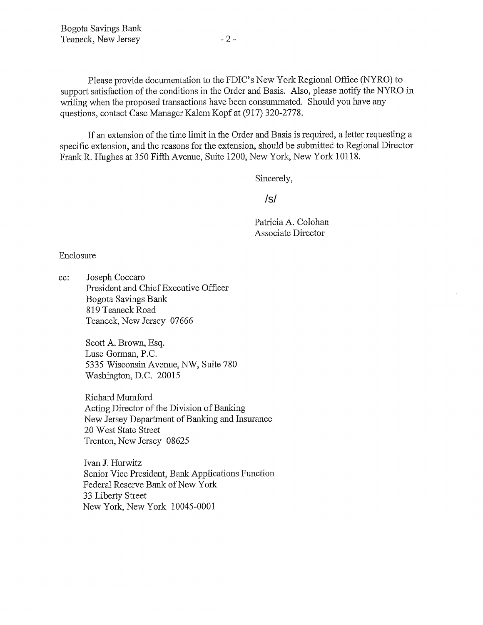Please provide documentation to the FDIC's New York Regional Office (NYRO) to support satisfaction of the conditions in the Order and Basis. Also, please notify the NYRO in writing when the proposed transactions have been consummated. Should you have any questions, contact Case Manager Kalem Kopf at (917) 320-2778.

If an extension of the time limit in the Order and Basis is required, a letter requesting a specific extension, and the reasons for the extension, should be submitted to Regional Director Frank R. Hughes at 350 Fifth Avenue, Suite 1200, New York, New York 10118.

Sincerely,

/s/

Patricia A. Colohan Associate Director

Enclosure

cc: Joseph Coccaro President and Chief Executive Officer Bogota Savings Bank 819 Teaneck Road Teaneck, New Jersey 07666

> Scott A. Brown, Esq. Luse Gorman, P.C. 5335 Wisconsin Avenue, NW, Suite 780 Washington, D.C. 20015

Richard Mumford Acting Director of the Division of Banking New Jersey Department of Banking and Insurance 20 West State Street Trenton, New Jersey 08625

Ivan J. Hurwitz Senior Vice President, Bank Applications Function Federal Resexve Bank of New York 33 Liberty Street New York, New York 10045-0001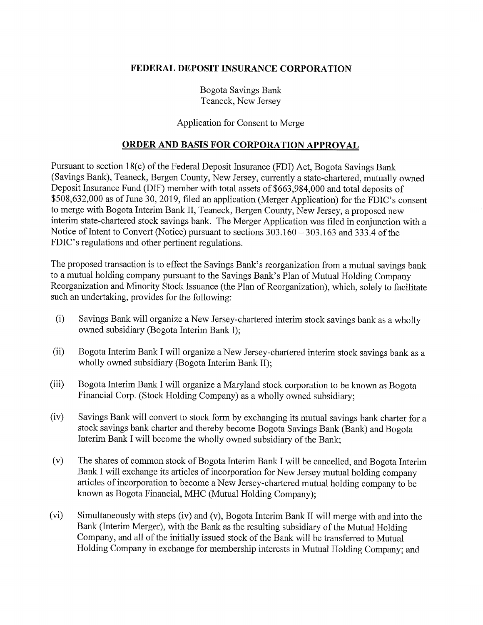### FEDERAL DEPOSIT INSURANCE CORPORATION

Bogota Savings Bank Teaneck, New Jersey

#### Application for Consent to Merge

### ORDER AND BASIS FOR CORPORATION APPROVAL

Pursuant to section 18(c) of the Federal Deposit Insurance (FDI) Act, Bogota Savings Bank (Savings Bank), Teaneck, Bergen County, New Jersey, currently astate-chartered, mutually owned Deposit Insurance Fund (DIF) member with total assets of \$663,984,000 and total deposits of \$508,632,000 as of June 30, 2019, filed an application (Merger Application) for the FDIC's consent to merge with Bogota Interim Bank II, Teaneck, Bergen County, New Jersey, a proposed new interim state-chartered stock savings bank. The Merger Application was filed in conjunction with a Notice of Intent to Convert (Notice) pursuant to sections 303.160 — 303.163 and 333.4 of the FDIC's regulations and other pertinent regulations.

The proposed transaction is to effect the Savings Bank's reorganization fiom a mutual savings bank to a mutual holding company pursuant to the Savings Bank's Plan of Mutual Holding Company Reorganization and Minority Stock Issuance (the Plan of Reorganization), which, solely to facilitate such an undertaking, provides for the following:

- (i) Savings Bank will organize a New Jersey-chartered interim stock savings bank as a wholly owned subsidiary (Bogota Interim Bank I);
- (ii) Bogota Interim Bank I will organize a New Jersey-chartered interim stock savings bank as a wholly owned subsidiary (Bogota Interim Bank II);
- (iii) Bogota Interim Bank I will organize a Maryland stock corporation to be known as Bogota Financial Corp. (Stock Holding Company) as a wholly owned subsidiary;
- (iv) Savings Bank will convert to stock form by exchanging its mutual savings bank charter for a stock savings bank charter and thereby become Bogota Savings Bank (Bank) and Bogota Interim Bank I will become the wholly owned subsidiary of the Bank;
- (v) The shares of common stock of Bogota Interim Bank I will be cancelled, and Bogota Interim Bank I will exchange its articles of incorporation for New Jersey mutual holding company articles of incorporation to become a New Jersey-chartered mutual holding company to be known as Bogota Financial, MHC (Mutual Holding Company);
- (vi) Simultaneously with steps (iv) and (v), Bogota Interim Bank II will merge with and into the Bank (Interim Merger), with the Bank as the resulting subsidiary of the Mutual Holding Company, and all of the initially issued stock of the Bank will be transferred to Mutual Holding Company in exchange for membership interests in Mutual Holding Company; and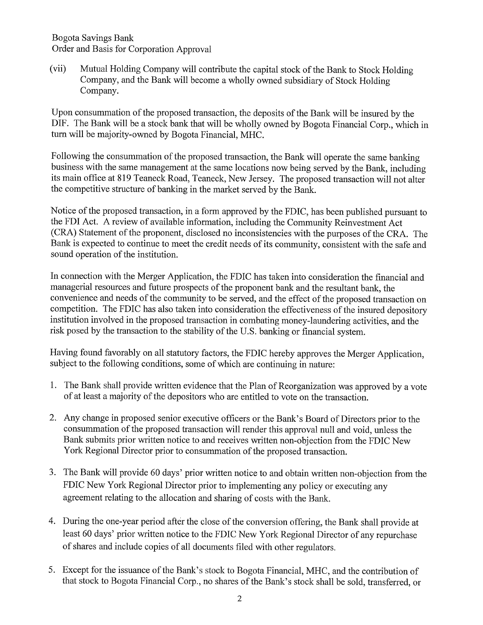Bogota Savings Bank Order and Basis for Corporation Approval

(vii) Mutual Holding Company will contribute the capital stock of the Bank to Stock Holding Company, and the Bank will become a wholly owned subsidiary of Stock Holding Company.

Upon consummation of the proposed transaction, the deposits of the Bank will be insured by the DIF. The Bank will be a stock bank that will be wholly owned by Bogota Financial Corp., which in turn will be majority-owned by Bogota Financial, MHC.

Following the consummation of the proposed transaction, the Bank will operate the same banking business with the same management at the same locations now being served by the Bank, including its main office at 819 Teaneck Road, Teaneck, New Jersey. The proposed transaction will not alter the competitive structure of banking in the market served by the Bank.

Notice of the proposed transaction, in a form approved by the FDIC, has been published pursuant to the FDI Act. A review of available information, including the Community Reinvestment Act (CRA) Statement of the proponent, disclosed no inconsistencies with the purposes of the CRA. The Bank is expected to continue to meet the credit needs of its community, consistent with the safe and sound operation of the institution.

In connection with the Merger Application, the FDIC has taken into consideration the financial and managerial resources and future prospects of the proponent bank and the resultant bank, the convenience and needs of the community to be served, and the effect of the proposed transaction on competition. The FDIC has also taken into consideration the effectiveness of the insured depository institution involved in the proposed transaction in combating money-laundering activities, and the risk posed by the transaction to the stability of the U.S. banking or financial system.

Having found favorably on all statutory factors, the FDIC hereby approves the Merger Application, subject to the following conditions, some of which are continuing in nature:

- 1. The Bank shall provide written evidence that the Plan of Reorganization was approved by a vote of at least a majority of the depositors who are entitled to vote on the transaction.
- 2. Any change in proposed senior executive officers or the Bank's Board of Directors prior to the consummation of the proposed transaction will render this approval null and void, unless the Bank submits prior written notice to and receives written non-objection from the FDIC New York Regional Director prior to consummation of the proposed transaction.
- 3. The Bank will provide 60 days' prior written notice to and obtain written non-objection from the FDIC New York Regional Director prior to implementing any policy or executing any agreement relating to the allocation and sharing of costs with the Bank.
- 4. During the one-year period after the close of the conversion offering, the Bank shall provide at least 60 days' prior written notice to the FDIC New York Regional Director of any repurchase of shares and include copies of all documents filed with other regulators.
- 5. Except for the issuance of the Bank's stock to Bogota Financial, MHC, and the contribution of that stock to Bogota Financial Corp., no shares of the Bank's stock shall be sold, transferred, or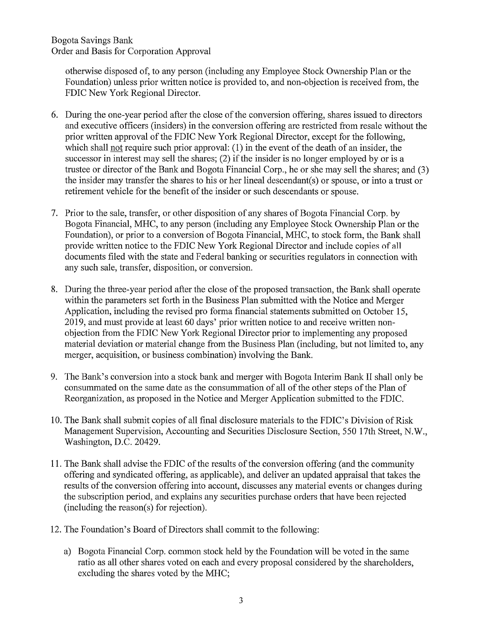Bogota Savings Bank Order and Basis for Corporation Approval

otherwise disposed of, to any person (including any Employee Stock Ownership Plan or the Foundation) unless prior written notice is provided to, and non-objection is received from, the FDIC New York Regional Director.

- 6. During the one-year period after the close of the conversion offering, shares issued to directors and executive officers (insiders) in the conversion offering are restricted from resale without the prior written approval of the FDIC New York Regional Director, except for the following, which shall not require such prior approval: (1) in the event of the death of an insider, the successor in interest may sell the shares; (2) if the insider is no longer employed by or is a trustee or director of the Bank and Bogota Financial Corp., he or she may sell the shares; and (3) the insider may transfer the shares to his or her lineal descendant(s) or spouse, or into a trust or retirement vehicle for the benefit of the insider or such descendants or spouse.
- 7. Prior to the sale, transfer, or other disposition of any shares of Bogota Financial Corp. by Bogota Financial, MHC, to any person (including any Employee Stock Ownership Plan or the Foundation), or prior to a conversion of Bogota Financial, MHC, to stock form, the Bank shall provide written notice to the FDIC New York Regional Director and include copies of all documents filed with the state and Federal banking or securities regulators in connection with any such sale, transfer, disposition, or conversion.
- 8. During the three-year period after the close of the proposed transaction, the Bank shall operate within the parameters set forth in the Business Plan submitted with the Notice and Merger Application, including the revised pro forma financial statements submitted on October 15, 2019, and must provide at least 60 days' prior written notice to and receive written nonobjection from the FDIC New York Regional Director prior to implementing any proposed material deviation or material change from the Business Plan (including, but not limited to, any merger, acquisition, or business combination) involving the Bank.
- 9. The Bank's conversion into a stock bank and merger with Bogota Interim Bank II shall only be consummated on the same date as the consummation of all of the other steps of the Plan of Reorganization, as proposed in the Notice and Merger Application submitted to the FDIC.
- 10. The Bank shall submit copies of all final disclosure materials to the FDIC's Division of Risk Management Supervision, Accounting and Securities Disclosure Section, 550 17th Street, N.W., Washington, D.C. 20429.
- 11. The Bank shall advise the FDIC of the results of the conversion offering (and the community offering and syndicated offering, as applicable), and deliver an updated appraisal that takes the results of the conversion offering into account, discusses any material events or changes during the subscription period, and explains any securities purchase orders that have been rejected  $(including the reason(s) for rejection).$
- 12. The Foundation's Board of Directors shall commit to the following:
	- a) Bogota Financial Corp. common stock held by the Foundation will be voted in the same ratio as all other shares voted on each and every proposal considered by the shareholders, excluding the shares voted by the MHC;